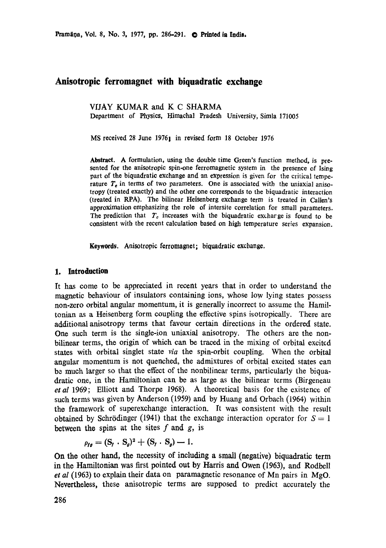# **Anisotropic ferromagnet with biquadratic exchange**

VffAY KUMAR and K C SHARMA Department of Physics, Himachal Pradesh University, Simla 171005

MS received 28 June 19761 in revised form 18 October 1976

Abstract. A formulation, using the double time Green's function method, is presented for the anisotropic spin-one ferromagnetic system in the presence of Ising part of the biquadratic exchange and an expression is given for the critical temperature  $T<sub>e</sub>$  in terms of two parameters. One is associated with the uniaxial anisotropy (treated exactly) and the other one corresponds to the biquadratic interaction (treated in RPA). The bilinear Heisenberg exchange term is treated in Callen's approximation emphasizing the role of intersite correlation for small parameters. The prediction that  $T_c$  increases with the biquadratic excharge is found to be **consistent** with the recent calculation based on high temperature series expansion.

**Keywords. Anisotropic ferromagnet;** biquadratic exchange.

## **1. Introduction**

It has come to be appreciated in recent years that in order to understand the magnetic behaviour of insulators containing ions, whose low lying states possess non-zero orbital angular momentum, it is generally incorrect to assume the Hamiltonian as a Heisenberg form coupling the effective spins isotropically. There are additional anisotropy terms that favour certain directions in the ordered state. One such term is the single-ion uniaxial anisotropy. The others are the nonbilinear terms, the origin of which can be traced in the mixing of orbital excited states with orbital singlet state *via* the spin-orbit coupling. When the orbital angular momentum is not quenched, the admixtures of orbital excited states can be much larger so that the effect of the nonbilinear terms, particularly the biquadratic one, in the Hamiltonian can be as large as the bilinear terms (Birgeneau *et al* 1969; Elliott and Thorpe 1968). A theoretical basis for the existence of such terms was given by Anderson (1959) and by Huang and Orbach (1964) within the framework of superexchange interaction. It was consistent with the result obtained by Schrödinger (1941) that the exchange interaction operator for  $S = 1$ between the spins at the sites  $f$  and  $g$ , is

$$
\rho_{\mathbf{f}\mathbf{g}} = (\mathbf{S}_{\mathbf{f}} \cdot \mathbf{S}_{\mathbf{g}})^2 + (\mathbf{S}_{\mathbf{f}} \cdot \mathbf{S}_{\mathbf{g}}) - 1.
$$

On the other hand, the necessity of including a small (negative) biquadratic term in the Hamiltonian was first pointed out by Harris and Owen (1963), and Rodbell *et al* (1963) to explain their data on paramagnetic resonance of Mn pairs in MgO. Nevertheless, these anisotropic terms are supposed to predict accurately the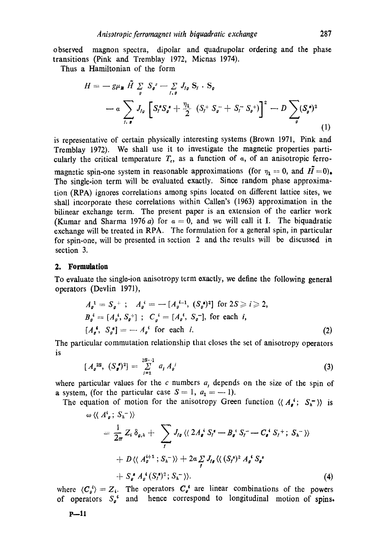observed magnon spectra, dipolar and quadrupolar ordering and the phase transitions (Pink and Tremblay 1972, Micnas 1974).

Thus a Hamiltonian of the form

$$
H = -g\mu_{B} \tilde{H} \sum_{g} S_{g}^{2} - \sum_{f,g} J_{fg} S_{f} \cdot S_{g}
$$
  
-  $a \sum_{f,g} J_{fg} \left[ S_{f}^{*} S_{g}^{*} + \frac{\eta_{1}}{2} (S_{f}^{+} S_{g}^{-} + S_{f}^{-} S_{g}^{+}) \right]^{2} - D \sum_{g} (S_{g}^{*})^{2}$  (1)

is representative of certain physically interesting systems (Brown 1971, Pink and Tremblay 1972). We shall use it to investigate the magnetic properties particularly the critical temperature  $T_c$ , as a function of  $\alpha$ , of an anisotropic ferromagnetic spin-one system in reasonable approximations (for  $\eta_1 = 0$ , and  $\tilde{H} = 0$ ). The single-ion term will be evaluated exactly. Since random phase approximation (RPA) ignores correlations among spins located on different lattice sites, we shall incorporate these correlations within Callen's (1963) approximation in the bilinear exchange term. The present paper is an extension of the earlier work (Kumar and Sharma 1976 a) for  $a = 0$ , and we will call it I. The biquadratic exchange will be treated in RPA. The formulation for a general spin, in particular for spin-one, will be presented in section 2 and the results will be discussed in section 3.

#### **2. Formulation**

To evaluate the single-ion anisotropy term exactly, we define the following general operators (Devlin 1971),

$$
A_{\rho}^{-1} = S_{\rho}^{+} ; A_{\rho}^{i} = -[A_{\rho}^{i-1}, (S_{\rho}^{*})^{2}] \text{ for } 2S \ge i \ge 2,
$$
  
\n
$$
B_{\rho}^{i} = [A_{\rho}^{i}, S_{\rho}^{+}] ; C_{\rho}^{i} = [A_{\rho}^{i}, S_{\rho}^{-}], \text{ for each } i,
$$
  
\n
$$
[A_{\rho}^{*}, S_{\rho}^{*}] = -A_{\rho}^{i} \text{ for each } i.
$$
 (2)

The particular commutation relationship that closes the set of anisotropy operators is

$$
[A_{\rho}^{2S}, (S_{\rho}^{\prime})^2] = \sum_{j=1}^{2S-1} a_j A_{\rho}^j
$$
 (3)

where particular values for the c numbers  $a<sub>i</sub>$  depends on the size of the spin of a system, (for the particular case  $S = 1$ ,  $a_1 = -1$ ).

The equation of motion for the anisotropy Green function  $\langle \langle A_{\mathbf{e}}^i; S_{\mathbf{e}}^{\dagger} \rangle \rangle$  is

$$
\omega \langle \langle A^s_{\rho}; S_n^{-} \rangle \rangle
$$
\n
$$
= \frac{1}{2\pi} Z_i \, \delta_{\rho, h} + \sum_{f} J_{f\rho} \langle \langle 2A^i_{\rho} S_f^* - B^i_{\rho} S_f^- - C^i_{\rho} S_f^+; S_h^- \rangle \rangle
$$
\n
$$
+ D \langle \langle A^{\mu+1}_{\rho}; S_h^- \rangle \rangle + 2\alpha \sum_{f} J_{f\rho} \langle \langle (S_f^*)^2 A^i_{\rho} S_f^* - S^i_{\rho} S_f^* \rangle \rangle
$$
\n
$$
+ S^s_{\rho} A^i_{\rho} (S_f^*)^2; S_h^- \rangle \rangle. \tag{4}
$$

where  $\langle C_{\varrho}^4 \rangle = Z_{\varrho}$ . The operators  $C_{\varrho}^4$  are linear combinations of the powers of operators  $S_{\rho}^*$  and hence correspond to longitudinal motion of spins.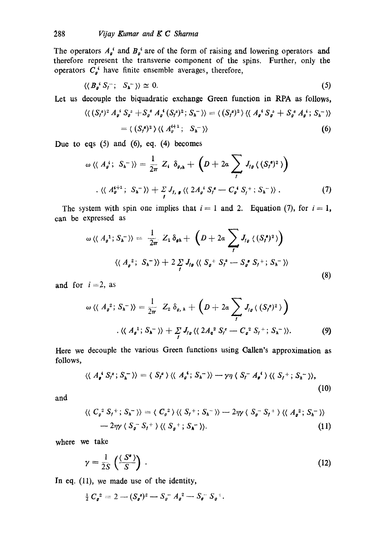The operators  $A_{\rho}^{i}$  and  $B_{\rho}^{i}$  are of the form of raising and lowering operators and therefore represent the transverse component of the spins. Further, only the operators  $C_g^i$  have finite ensemble averages, therefore,

$$
\langle \langle B_{\mathfrak{g}}^* S_{\mathfrak{f}}^-; S_{\mathfrak{h}}^- \rangle \rangle \simeq 0. \tag{5}
$$

Let us decouple the biquadratic exchange Green function in RPA as follows,

$$
\langle \langle (S_f^z)^2 A_g^i S_g^z + S_g^z A_g^i (S_f^z)^2; S_h^- \rangle \rangle = \langle (S_f^z)^2 \rangle \langle \langle A_g^i S_g^z + S_g^z A_g^i; S_h^- \rangle \rangle
$$
  
=  $\langle (S_f^z)^2 \rangle \langle \langle A_g^{i+1}; S_h^- \rangle \rangle$  (6)

Due to eqs  $(5)$  and  $(6)$ , eq.  $(4)$  becomes

$$
\omega \langle \langle A_{\mathfrak{g}}^{i}; S_{\mathfrak{h}}^{-} \rangle \rangle = \frac{1}{2\pi} Z_{i} \delta_{\mathfrak{g}_{\mathfrak{g}}} + \left( D + 2\alpha \sum_{j} J_{j} \langle (S_{j}^{\mathfrak{s}})^{2} \rangle \right)
$$
  
. 
$$
\langle \langle A_{\mathfrak{g}}^{i+1}; S_{\mathfrak{h}}^{-} \rangle \rangle + \sum_{j} J_{j} \langle \langle 2 A_{\mathfrak{g}}^{i} S_{j}^{\mathfrak{s}} - C_{\mathfrak{g}}^{i} S_{j}^{+}; S_{\mathfrak{h}}^{-} \rangle \rangle .
$$
 (7)

The system with spin one implies that  $i = 1$  and 2. Equation (7), for  $i = 1$ , can be expressed as

$$
\omega \langle \langle A_{\rho}^{-1} ; S_{\hbar}^{-} \rangle \rangle = \frac{1}{2\pi} Z_{1} \delta_{\rho\hbar} + \left( D + 2a \sum_{f} J_{f\rho} \langle (S_{f}^{\ast})^{2} \rangle \right)
$$
  

$$
\langle \langle A_{\rho}^{-2} ; S_{\hbar}^{-} \rangle \rangle + 2 \sum_{f} J_{f\rho} \langle \langle S_{\rho}^{-1} S_{f}^{\ast} - S_{\rho}^{\ast} S_{f}^{+} ; S_{\hbar}^{-} \rangle \rangle
$$
(8)

and for  $i=2$ , as

$$
\omega \langle \langle A_g^2; S_h^- \rangle \rangle = \frac{1}{2\pi} Z_2 \, \delta_{g,h} + \left( D + 2\alpha \sum_f J_{f\mathfrak{g}} \langle (S_f^{\mathfrak{s}})^2 \rangle \right)
$$
  

$$
\langle \langle A_g^1; S_h^- \rangle \rangle + \sum_f J_{f\mathfrak{g}} \langle \langle 2A_g^2 S_f^* - C_g^2 S_f^+; S_h^- \rangle \rangle. \tag{9}
$$

Here we decouple the various Green functions using Callen's approximation as follows,

$$
\langle \langle A_{\mathbf{g}}^{\mathbf{i}} S_{\mathbf{f}}^{\mathbf{g}}; S_{\mathbf{h}}^{-} \rangle \rangle = \langle S_{\mathbf{f}}^{\mathbf{g}} \rangle \langle \langle A_{\mathbf{g}}^{\mathbf{i}}; S_{\mathbf{h}}^{-} \rangle \rangle - \gamma \eta \langle S_{\mathbf{f}}^{-} A_{\mathbf{g}}^{\mathbf{i}} \rangle \langle \langle S_{\mathbf{f}}^{+}; S_{\mathbf{h}}^{-} \rangle \rangle,
$$
\n(10)

and

$$
\langle \langle C_g^2 S_f^+; S_h^- \rangle \rangle = \langle C_g^2 \rangle \langle \langle S_f^+; S_h^- \rangle \rangle - 2\eta \gamma \langle S_g^- S_f^+ \rangle \langle \langle A_g^2; S_h^- \rangle \rangle
$$
  
- 2\eta \gamma \langle S\_g^- S\_f^+ \rangle \langle \langle S\_g^+; S\_h^- \rangle \rangle. (11)

where we take

$$
\gamma = \frac{1}{2S} \left( \frac{\langle S^* \rangle}{S} \right) \,. \tag{12}
$$

In eq. (11), we made use of the identity,

$$
\frac{1}{2} C_{\mathbf{g}}^{2} = 2 - (S_{\mathbf{g}}^{2})^{2} - S_{\mathbf{g}}^{-} A_{\mathbf{g}}^{2} - S_{\mathbf{g}}^{-} S_{\mathbf{g}}^{+}.
$$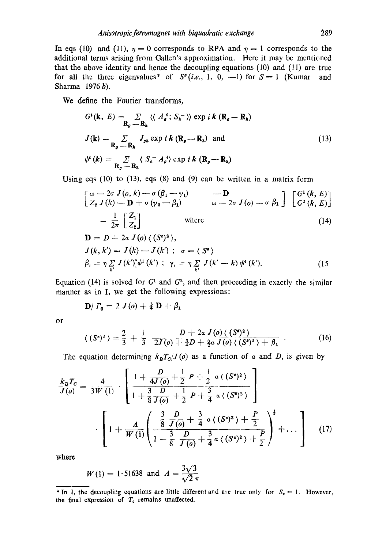In eqs (10) and (11),  $\eta = 0$  corresponds to RPA and  $\eta = 1$  corresponds to the additional terms arising from Gallen's approximation. Here it may be mentioned that the above identity and hence the decoupling equations (10) and (11) are true for all the three eigenvalues<sup>\*</sup> of  $S^*(i.e., 1, 0, -1)$  for  $S = 1$  (Kumar and Sharma 1976 b).

We define the Fourier transforms,

$$
G^{i}(\mathbf{k}, E) = \sum_{\mathbf{R}_{g} \to \mathbf{R}_{h}} \langle \langle A_{g}^{i} ; S_{h}^{-} \rangle \rangle \exp i k (\mathbf{R}_{g} - \mathbf{R}_{h})
$$
  
\n
$$
J(\mathbf{k}) = \sum_{\mathbf{R}_{g} \to \mathbf{R}_{h}} J_{g h} \exp i k (\mathbf{R}_{g} - \mathbf{R}_{h}) \text{ and}
$$
  
\n
$$
\psi^{i}(\mathbf{k}) = \sum_{\mathbf{R}_{g} \to \mathbf{R}_{h}} \langle S_{h}^{-} A_{g}^{i} \rangle \exp i k (\mathbf{R}_{g} - \mathbf{R}_{h})
$$
\n(13)

Using eqs (10) to (13), eqs (8) and (9) can be written in a matrix form

$$
\begin{bmatrix}\n\omega - 2\sigma J(o, k) - \sigma (\beta_1 - \gamma_1) & -\mathbf{D} \\
Z_2 J(k) - \mathbf{D} + \sigma (\gamma_2 - \beta_1) & \omega - 2\sigma J(o) - \sigma \beta_1\n\end{bmatrix} \begin{bmatrix}\nG^1(k, E) \\
G^2(k, E)\n\end{bmatrix}
$$
\n
$$
= \frac{1}{2\pi} \begin{bmatrix}\nZ_1 \\
Z_2\n\end{bmatrix} \text{ where}
$$
\n
$$
\mathbf{D} = D + 2a J(o) \langle (S^s)^2 \rangle,
$$
\n
$$
J(k, k') = J(k) - J(k') ; \sigma = \langle S^s \rangle
$$
\n
$$
\beta_i = \eta \sum_{k'} J(k')^*_{k} \psi^1(k') ; \gamma_i = \eta \sum_{k'} J(k' - k) \psi^i(k').
$$
\n(15)

Equation (14) is solved for  $G<sup>1</sup>$  and  $G<sup>2</sup>$ , and then proceeding in exactly the similar manner as in I, we get the following expressions:

$$
\mathbf{D}/\Gamma_0 = 2 J(\mathbf{\omega}) + \frac{3}{4} \mathbf{D} + \beta_1
$$

or

$$
\langle (S^{\mathbf{z}})^2 \rangle = \frac{2}{3} + \frac{1}{3} \frac{D + 2a J(0) \langle (S^{\mathbf{z}})^2 \rangle}{2J(0) + \frac{3}{4}D + \frac{3}{2}a J(0) \langle (S^{\mathbf{z}})^2 \rangle + \beta_1} \ . \tag{16}
$$

The equation determining  $k_B T_c / J(\theta)$  as a function of a and D, is given by

$$
\frac{k_{\mathbf{B}}T_{\mathbf{C}}}{J(o)} = \frac{4}{3W(1)} \cdot \left[ \frac{1 + \frac{D}{4J(o)} + \frac{1}{2} P + \frac{1}{2} a \left\langle (S^2)^2 \right\rangle}{1 + \frac{3}{8} \frac{D}{J(o)} + \frac{1}{2} P + \frac{3}{4} a \left\langle (S^2)^2 \right\rangle} \right] \cdot \left[ 1 + \frac{A}{W(1)} \left( \frac{\frac{3}{8} \frac{D}{J(o)} + \frac{3}{4} a \left\langle (S^2)^2 \right\rangle + \frac{P}{2}}{\frac{3}{4} \frac{D}{J(o)} + \frac{3}{4} a \left\langle (S^2)^2 \right\rangle + \frac{P}{2}} \right)^{\frac{1}{2}} + \dots \right] \tag{17}
$$

where

$$
W(1) = 1.51638
$$
 and  $A = \frac{3\sqrt{3}}{\sqrt{2} \pi}$ 

<sup>\*</sup> In I, the decoupling equations are little different and are true only for  $S_z = 1$ . However, the final expression of  $T<sub>o</sub>$  remains unaffected.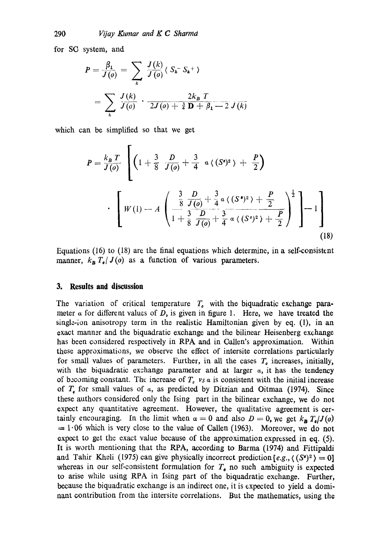for SO system, and

$$
P = \frac{\beta_1}{J(o)} = \sum_{k} \frac{J(k)}{J(o)} \langle S_k - S_k + \rangle
$$
  
= 
$$
\sum_{k} \frac{J(k)}{J(o)} \cdot \frac{2k_B T}{2J(o) + \frac{3}{4} D + \beta_1 - 2 J(k)}
$$

which can be simplified so that we get

$$
P = \frac{k_B T}{J(\rho)} \left[ \left( 1 + \frac{3}{8} \frac{D}{J(\rho)} + \frac{3}{4} \alpha \langle (S^*)^2 \rangle + \frac{P}{2} \right) \right]
$$
  

$$
\cdot \left[ W(1) - A \left( \frac{\frac{3}{8} \frac{D}{J(\rho)} + \frac{3}{4} \alpha \langle (S^*)^2 \rangle + \frac{P}{2}}{1 + \frac{3}{8} \frac{D}{J(\rho)} + \frac{3}{4} \alpha \langle (S^*)^2 \rangle + \frac{P}{2}} \right)^{\frac{1}{2}} \right] - 1 \right]
$$
(18)

Equations (16) to (18) are the final equations which determine, in a self-consistent manner,  $k_B T_e / J(o)$  as a function of various parameters.

### **3. Results and discussion**

The variation of critical temperature  $T<sub>e</sub>$  with the biquadratic exchange parameter  $\alpha$  for different values of D, is given in figure 1. Here, we have treated the single-ion anisotropy term in the realistic Hamiltonian given by eq. (1), in an exact manner and the biquadratic exchange and the bilinear Heisenberg exchange has been considered respectively in RPA and in Oallen's approximation. Within these approximations, we observe the effect of intersite correlations particularly for small values of parameters. Further, in all the cases  $T<sub>e</sub>$  increases, initially, with the biquadratic exchange parameter and at larger  $a$ , it has the tendency of becoming constant. The increase of  $T<sub>e</sub>$  vs a is consistent with the initial increase of  $T<sub>e</sub>$  for small values of  $\alpha$ , as predicted by Ditzian and Oitmaa (1974). Since these authors considered only the Ising part in the bilinear exchange, we do not expect any quantitative agreement. However, the qualitative agreement is certainly encouraging. In the limit when  $\alpha = 0$  and also  $D = 0$ , we get  $k_B T_e / J(\alpha)$  $= 1.06$  which is very close to the value of Callen (1963). Moreover, we do not expect to get the exact value because of the approximation expressed in eq. (5). It is worth mentioning that the RPA, according to Barma (1974) and Fittipaldi and Tahir Kheli (1975) can give physically incorrect prediction  $[e.g., \langle (S^*)^2 \rangle = 0]$ whereas in our self-consistent formulation for  $T<sub>o</sub>$  no such ambiguity is expected to arise while using RPA in Ising part of the biquadratic exchange. Further, because the biquadratic exchange is an indirect one, it is expected to yield a dominant contribution from the intersite correlations. But the mathematics, using the